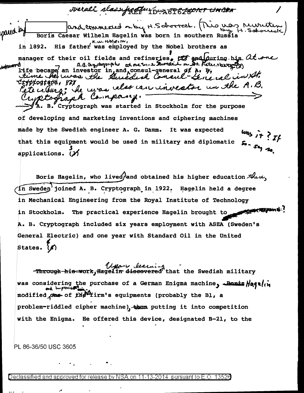overali slassificaturo noPorter UMBRA and commented on by H.Schoolect. This uso, rewriting pared by Boris Caesar Wilhelm Hagelin was born in southern Russia  $K, \omega$ , HAGELIN, in 1892. His father was employed by the Nobel brothers as manager of their oil fields and refineries.  $\alpha$  and during his  $\alpha$ t one A.B. Ourothegraph at one to a Dureaut met. File reagantes **JULIUAT C** life became an investor in and consul-general of A. B. Her was the Suite and Consul - General in Al. zypľogľapu, *(7)* un the A.B. lete celura: he carso calso care investo A Compa ruptograp B. Cryptograph was started in Stockholm for the purpose of developing and marketing inventions and ciphering machines made by the Swedish engineer A. G. Damm. It was expected that this equipment would be used in military and diplomatic applications.  $(3)$ Boris Hagelin, who lived/and obtained his higher education these, in Sweden'joined A. B. Cryptograph in 1922. Hagelin held a degree

in Mechanical Engineering from the Royal Institute of Technology **CONCRETAINER** The practical experience Hagelin brought to in Stockholm. A. B. Cryptograph included six years employment with ASEA (Sweden's General Electric) and one year with Standard Oil in the United States. (A)

Through-his work, Hagel in discovered that the Swedish military was considering the purchase of a German Enigma machine, Banis Hagelin and improved the modified case of the Firm's equipments (probably the Bl, a problem-riddled cipher machine), thus putting it into competition with the Eniama. He offered this device, designated B-21, to the

PL 86-36/50 USC 3605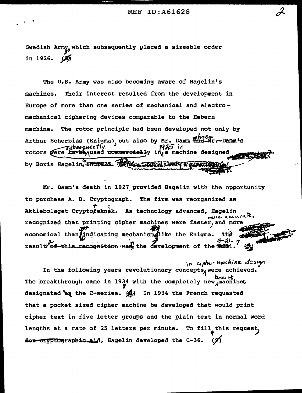Swedish Army, which subsequently placed a sizeable order in 1926.

The U.S. Army was also becoming aware of Hagelin's Their interest resulted from the development in machines. Europe of more than one series of mechanical and electromechanical ciphering devices comparable to the Hebern The rotor principle had been developed not only by machine. Arthur Scherbius (Enigma), but also by Mr. Damm and Mr. Damm's <del>ribseq</del>uently. 1925 in used <del>commercial</del>ly in,a machine designed rotors were b by Boris Hagelin, 1979125. THE CANCELLY

Mr. Damm's death in 1927 provided Hagelin with the opportunity to purchase A. B. Cryptograph. The firm was reorganized as Aktiebolaget Cryptoieknek. As technology advanced, Hagelin ure accurate. recognized that printing cipher machines were faster, and more economical than jindicating mechanism like the Enigma. result of this recognition was, the development of the 22

in cipher machine design In the following years revolutionary concepts, were achieved. The breakthrough came in 1934 with the completely new machine, designated as the C-series. (4) In 1934 the French requested that a pocket sized cipher machine be developed that would print cipher text in five letter groups and the plain text in normal word lengths at a rate of 25 letters per minute. To fill this request, for cryptographic.aid, Hagelin developed the C-36.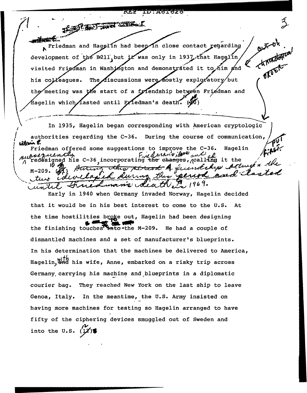**TA61623** THE CONSTRUCTION OF THE REAL **odinactic** Friedman and Hagelin had beep in close contact regarding development of the B211 but it was only in 1937 that Hagelin visited Friedman in Washington and demonstrated it to him and OFFE The discussions were mostly exploratory/but his colleagues. the meeting was the start of a friendship between Friedman and fagelin which⊿asted until E∡iedman's death. (∛0) In 1935, Hagelin began corresponding with American cryptologic authorities regarding the C-36. During the course of communication, willew F.

Friedman offered some suggestions to improve the C-36. Hagelin suboczuently esequently fied than's illustrate of the sole of the changes, realling it the Huring this percent of fuendaly acting ..  $M - 209$ . and ther per ed aurna colco Lv tue  $t\ell v$ en 1969. Lumano dea until.

Early in 1940 when Germany invaded Norway, Hagelin decided that it would be in his best interest to come to the U.S. At the time hostilities broke out, Hagelin had been designing the finishing touches<sup>74</sup> into - the M-209. He had a couple of dismantled machines and a set of manufacturer's blueprints. In his determination that the machines be delivered to America, Hagelin, and his wife, Anne, embarked on a risky trip across Germany carrying his machine and blueprints in a diplomatic courier bag. They reached New York on the last ship to leave Genoa, Italy. In the meantime, the U.S. Army insisted on having more machines for testing so Hagelin arranged to have fifty of the ciphering devices smuggled out of Sweden and into the U.S.  $(1/2)$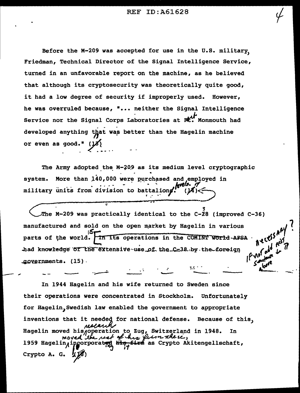Before the M-209 was accepted for use in the U.S. military. Friedman, Technical Director of the Signal Intelligence Service, turned in an unfavorable report on the machine, as he believed that although its cryptosecurity was theoretically quite good, it had a low degree of security if improperly used. However, he was overruled because, "... neither the Signal Intelligence Service nor the Signal Corps Laboratories at Rt. Monmouth had developed anything that was better than the Hagelin machine or even as good."  $(JZ)$ 

The Army adopted the M-209 as its medium level cryptographic More than 140,000 were purchased and employed in system. military units from division to battalions.

The M-209 was practically identical to the C-28 (improved C-36) manufactured and sold on the open market by Hagelin in various parts of the world. In its operations in the COMINT World-AFSA had knowledge of the extensive use of the C-38 by the foreign governments. (15).

In 1944 Hagelin and his wife returned to Sweden since their operations were concentrated in Stockholm. Unfortunately for Hagelin, Swedish law enabled the government to appropriate inventions that it needed for national defense. Because of this, Hagelin moved his operation to Zug, Switzerland in 1948. In moved the rest of this first there.<br>1959 Hagelin incorporating the first as Crypto Akitengellschaft, Crypto A. G.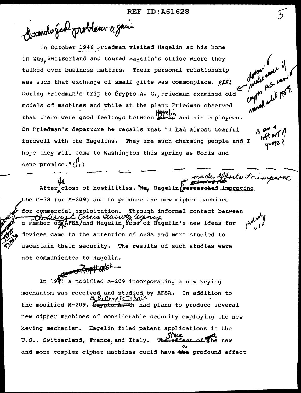Dandogal problem a gain

In October 1946 Friedman visited Hagelin at his home<br>in Zug,Switzerland and toured Hagelin's office where they *('* <sup>1</sup> was such that exchange of small gifts was commonplace.  $\ell^{1/\ell}$  and  $\ell^{1/\ell}$   $\ell^{1/\ell}$   $\ell^{1/\ell}$   $\ell^{1/\ell}$   $\ell^{1/\ell}$   $\ell^{1/\ell}$   $\ell^{1/\ell}$   $\ell^{1/\ell}$   $\ell^{1/\ell}$   $\ell^{1/\ell}$   $\ell^{1/\ell}$   $\ell^{1/\ell}$   $\ell^{1/\ell}$   $\ell^{1/\ell}$   $\ell^{1/\ell}$   $\$ talked over business matters. Their personal relationship During Friedman's trip to Crypto A. G. Friedman examined old models of machines and while at the plant Friedman observed that there were good feelings between  $\mathcal{H}_1$ , and his employees. On Friedman's departure he recalls that "I had almost tearful farewell with the Hagelins. They are such charming people and I hope they will come to Washington this spring as Boris and Anne promise. 11 (~) . . --- -- -·· -· -- --..... **\it** --· - ~vb-~,

After\_close of hostilities, May Hagelin Fresearched\_improving the C-38 (or M-209) and to produce the new cipher machines commercial exploitation. Through informal<br>Ha Almyd Forces Alcusity agency Through informal contact between  $\mathcal{N}$  v **FSA)and Hagelin, ome<sup>7</sup> of Hagelin's new ideas for**  $\begin{matrix} \mathcal{M}^{\mathcal{M}^{\mathcal{F}}}, & \mathcal{E} \end{matrix}$ devices came to the attention of AFSA and were studied to ascertain their security. The results of such studies were not communicated to Hagelin.

~~;fifflcbk **.......** 

In  $19\overline{4}1$  a modified M-209 incorporating a new keying mechanism was received and studied by AFSA. In addition to ll, *t2. C!t.:trfvi"e/<nL"*  the modified M-209,  $\epsilon$  and  $\epsilon$  and plans to produce several new cipher machines of considerable security employing the new keying mechanism. Hagelin filed patent applications in the U.S., Switzerland, France, and Italy. The effect of the new *(.C..*  and more complex cipher machines could have the profound effect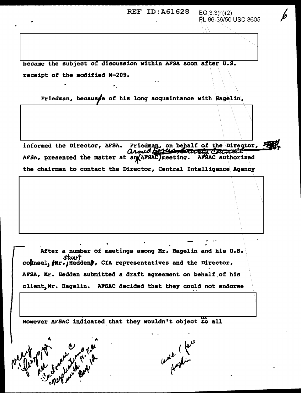REF ID:  $A61628$   $EQ3.3(h)(2)$ • PL 86-36/50 USC 3605 became the subject of discussion within AFSA soon after U.S. receipt of the modified M-209. Friedman, because of his long acquaintance with Hagelin, informed the Director, AFSA. Friedman, on behalf of the Director, Feasy<br>
Council area and the matter at angles of the area and the matter at angles and the setting. AFSAC authorized the chairman to contact the Director, Central Intelligence\ Agency After a number of meetings among Mr. Hagelin and his U.S. stuart coknsel,  $fMr.$  Hedden $f$ , CIA representatives and the Director, AFSA, Mr. Hedden submitted a draft agreement on behalf of his client, Mr. Hagelin. AFSAC decided that they could not endorse However AFSAC indicated that they wouldn't object to all uned (fait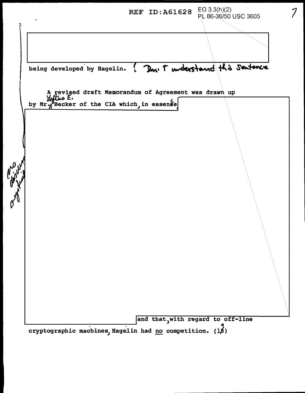REF ID: A61628 EO 3.3(h)(2) PL 86-36/50 USC 3605 \\\\\ ······························ ... being developed by Eagelin. ? Don't understand this Sentence A evised draft Memorandum of Agreement was drawn up *E.*  by  $Mr$ . Becker of the CIA which, in essense and that with regard to off-line

7

cryptographic machines, Hagelin had no competition.  $(1, 1)$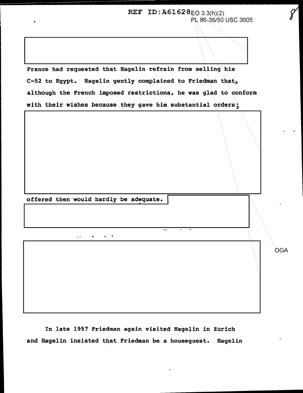REF ID:  $A61628EQ$  3.3(h)(2) PL 86,36/50 USC 3605

France had requested that Bagelin refrain from selling. his C-52 to Egypt. Hagelin gently complained to Friedman that, although the French imposed restrictions, he was glad to conform with their wishes because they gave him substantial orders;



In late 1957 Friedman again visited Hagelin in Zurich and Hagelin insisted that Friedman be a houseguest. Bagelin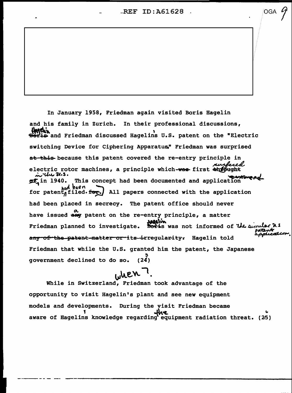-REF ID :A61628

 $\overline{\circ}$   $\overline{9}$ 

In January 1958, Friedman again visited Boris Hagelin and his family in Zurich. In their professional discussions, HAMONIA<br>Boris and Friedman discussed Hagelins U.S. patent on the "Electric switching Device for Ciphering Apparatus" Friedman was surprised at this because this patent covered the re-entry principle in electric rotor machines, a principle which-wee first diffught<br>in W.S.<br>gf<sub>a</sub>in 1940. This concept had been documented and application of in 1940. This concept had been documented and application<br>for patent, filed. for all papers connected with the application All papers connected with the application had been placed in secrecy. The patent office should never have issued  $\mathop{{\tt any}}\limits^{\boldsymbol{\alpha}}$  patent on the re-entry principle, a matter Friedman planned to investigate. Boxis was not informed of the ainule  $\mu\mu\mu\nu\mu\mu\nu\mu\nu$ any of the patent-matter or its-irregularity. Hagelin told Friedman that while the U.S. granted him the patent, the Japanese qovernment declined to do so.  $(24)$ 

## $u^{\mu}$ en

While in Switzerland, Friedman took advantage of the opportunity to visit Hagelin's plant and see new equipment models and developments. During the visit Friedman became<br>sing the visit Friedman became aware of Hagelins knowledge regarding equipment radiation threat. (25)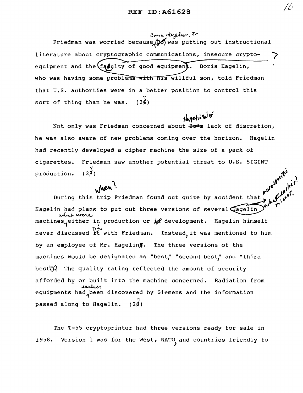Bris Hageler, Jr Friedman was worried because  $_{\alpha}$   $\beta$  was putting out instructional literature about cryptographic communications, insecure cryptoequipment and the  $(fq)$ ulty of good equipment. Boris Hagelin, who was having some problems with his willful son, told Friedman that U.S. authorties were in a better position to control this '1 sort of thing than he was.  $(26)$ 

 $H = 1$ Not only was Friedman concerned about Bots lack of discretion, he was also aware of new problems coming over the horizon. Hagelin had recently developed a cipher machine the size of a pack of cigarettes. Friedman saw another potential threat to U.S. SIGINT<br>y<br>production. (27)  $e^{\int e^{C^*} \, dx}$ 

 $\mathcal{A}^{\mathfrak{c}}$ 

, *wer*.  $r^{0}$ ,  $r^{0}$ ,  $r^{0}$ ,  $r^{0}$ ,  $r^{0}$ ,  $r^{0}$ ,  $r^{0}$ ,  $r^{0}$ ,  $r^{0}$ ,  $r^{0}$ ,  $r^{0}$ ,  $r^{0}$ ,  $r^{0}$ ,  $r^{0}$ ,  $r^{0}$ ,  $r^{0}$ ,  $r^{0}$ ,  $r^{0}$ ,  $r^{0}$ ,  $r^{0}$ ,  $r^{0}$ ,  $r^{0}$ ,  $r^{0}$ ,  $r^{0}$ ,  $r^{0}$ ,  $r^{0}$ ,  $r^{0}$ ,  $r^{0}$ During this trip Friedman found out quite by accident that  $\bigcup_{k=1}^{\infty} \mathbb{C}^{r, s[.]}$ Hagelin had plans to put out three versions of several  $\widetilde{\mathbf{H}}$ agelin $\widetilde{\mathcal{P}}^{\mathbf{w}^{\mathbf{x}^{\mathbf{x}}}}$ which were machines either in production or  $j$  development. Hagelin himself never discussed *i*t with Friedman. Instead, it was mentioned to him by an employee of Mr. Hagelin). The three versions of the machines would be designated as "best," "second best," and "third best $\mathbb{F}_{\theta}$ . The quality rating reflected the amount of security afforded by or built into the machine concerned. Radiation from **equipments had** been discovered by Siemens and the information <u>າ</u> passed along to Hagelin.  $(2\cancel{3})$ 

The T-55 cryptoprinter had three versions ready for sale in 1958. Version 1 was for the West, NATO and countries friendly to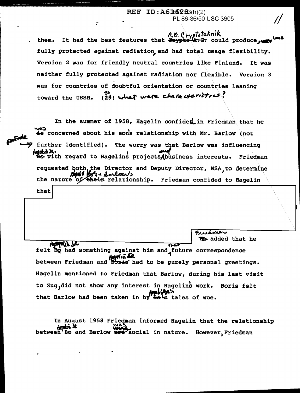## REF ID: A61562383(h)(2) PL 86-36/50 USC 3605

A.D. Cryptoteknik<br>It had the best features that <del>Crypto A.C.</del> could produce, them. fully protected against radiation, and had total usage flexibility. Version 2 was for friendly neutral countries like Finland. It was neither fully protected against radiation nor flexible. Version 3 was for countries of doubtful orientation or countries leaning (28) what were characteristics! toward the USSR.

 $\mathbf{r}$ 

Controle

In the summer of 1958, Hagelin confided in Friedman that he to concerned about his sons relationship with Mr. Barlow (not further identified). The worry was that Barlow was influencing Modul X.<br>Bo with regard to Hagelins projects (business interests. Friedman requested both, the Director and Deputy Director, NSA, to determine<br> **And Bos** + Randows<br>
the nature of their relationship. Friedman confided to Hagelin that

**12** added that he Hospein Jr.  $\overline{\text{max}}$ felt bo had something against him and future correspondence between Friedman and Boris had to be purely personal greetings. Hagelin mentioned to Friedman that Barlow, during his last visit to Zug, did not show any interest in Hagelins work. Boris felt that Barlow had been taken in by Bols tales of woe.

Fridman

In August 1958 Friedman informed Hagelin that the relationship How Way , we have not between Bo and Barlow are social in nature. However, Friedman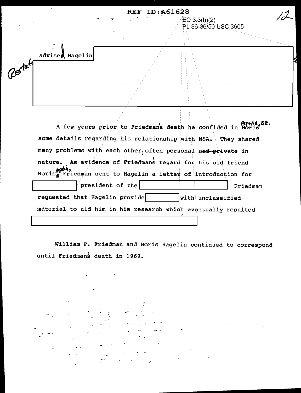REF ID:A61628  $EO 3.3(h)(2)$ PL 86-36/50 USC 3605 advises Hagelin Restate A few years prior to Friedmans death he confided in Boris<sup>SR.</sup> some details regarding his relationship with NSA. They shared many problems with each other, often personal and private in nature. As evidence of Friedmans regard for his old friend • Boris $\frac{1}{2}$  Friedman sent to Hagelin a letter of introduction for president of the I I I I I I Friedman requested that Hagelin provide  $\vert$  with unclassified

material to aid him in his research which eventually resulted

William F. Friedman and Boris Hagelin continued to correspond until Friedmans death in 1969.

÷. --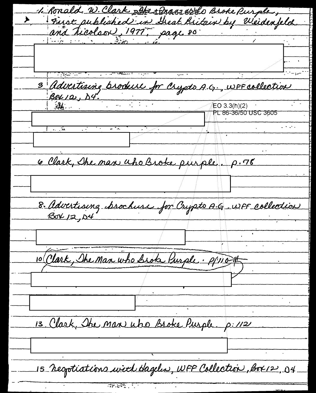1. Ronald. W. Clark Refer t Brass 6280 Broke Purple, First published in Dreat Britain by Weidenfeld 3 Advertising brockere for Crypto A.G., WFF collection PL 86-36/50 USC 3605 6 Clark, She man uho Brote purple. p. 76 8. Advertising brochuse for Crypto A.G. WFF collection 10 Clark, The Man who broke Purple . P/11015 13 Clark, The Man who Broke Purple. p: 112 15 resportiations with Hageles, WFF Collection, Box 12, 04